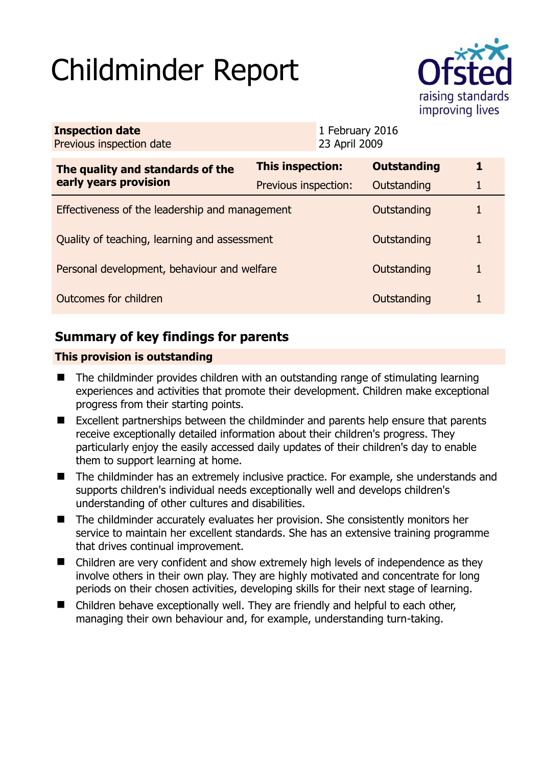# Childminder Report



| <b>Inspection date</b><br>Previous inspection date        |                         | 1 February 2016<br>23 April 2009 |                    |   |
|-----------------------------------------------------------|-------------------------|----------------------------------|--------------------|---|
| The quality and standards of the<br>early years provision | <b>This inspection:</b> |                                  | <b>Outstanding</b> | 1 |
|                                                           | Previous inspection:    |                                  | Outstanding        |   |
| Effectiveness of the leadership and management            |                         |                                  | Outstanding        |   |
| Quality of teaching, learning and assessment              |                         |                                  | Outstanding        | 1 |
| Personal development, behaviour and welfare               |                         |                                  | Outstanding        |   |
| Outcomes for children                                     |                         |                                  | Outstanding        |   |

# **Summary of key findings for parents**

## **This provision is outstanding**

- The childminder provides children with an outstanding range of stimulating learning experiences and activities that promote their development. Children make exceptional progress from their starting points.
- Excellent partnerships between the childminder and parents help ensure that parents receive exceptionally detailed information about their children's progress. They particularly enjoy the easily accessed daily updates of their children's day to enable them to support learning at home.
- The childminder has an extremely inclusive practice. For example, she understands and supports children's individual needs exceptionally well and develops children's understanding of other cultures and disabilities.
- The childminder accurately evaluates her provision. She consistently monitors her service to maintain her excellent standards. She has an extensive training programme that drives continual improvement.
- Children are very confident and show extremely high levels of independence as they involve others in their own play. They are highly motivated and concentrate for long periods on their chosen activities, developing skills for their next stage of learning.
- Children behave exceptionally well. They are friendly and helpful to each other, managing their own behaviour and, for example, understanding turn-taking.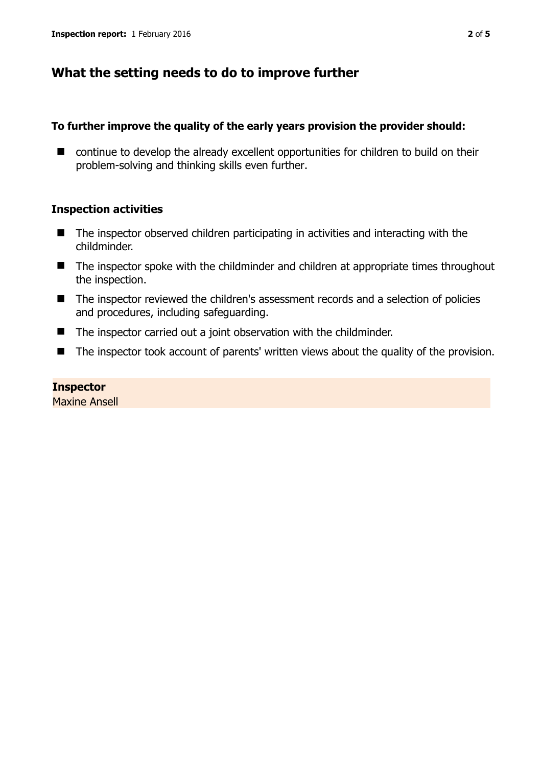## **What the setting needs to do to improve further**

## **To further improve the quality of the early years provision the provider should:**

■ continue to develop the already excellent opportunities for children to build on their problem-solving and thinking skills even further.

## **Inspection activities**

- The inspector observed children participating in activities and interacting with the childminder.
- The inspector spoke with the childminder and children at appropriate times throughout the inspection.
- The inspector reviewed the children's assessment records and a selection of policies and procedures, including safeguarding.
- The inspector carried out a joint observation with the childminder.
- The inspector took account of parents' written views about the quality of the provision.

## **Inspector**

Maxine Ansell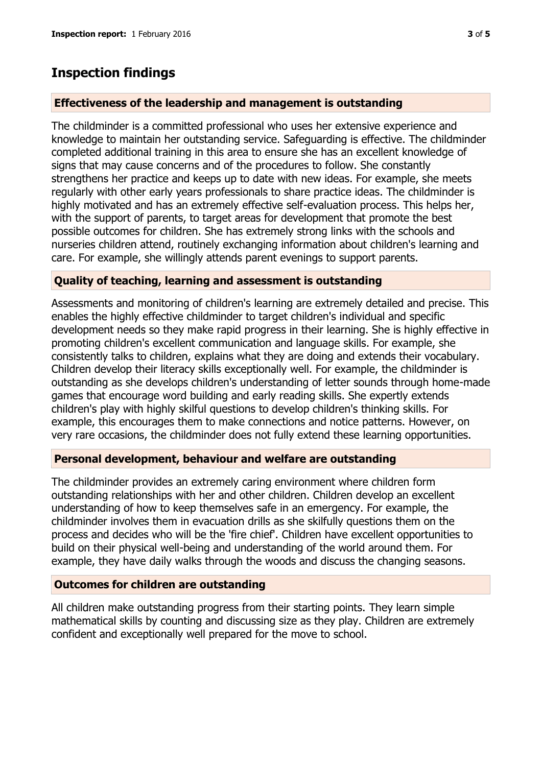## **Inspection findings**

## **Effectiveness of the leadership and management is outstanding**

The childminder is a committed professional who uses her extensive experience and knowledge to maintain her outstanding service. Safeguarding is effective. The childminder completed additional training in this area to ensure she has an excellent knowledge of signs that may cause concerns and of the procedures to follow. She constantly strengthens her practice and keeps up to date with new ideas. For example, she meets regularly with other early years professionals to share practice ideas. The childminder is highly motivated and has an extremely effective self-evaluation process. This helps her, with the support of parents, to target areas for development that promote the best possible outcomes for children. She has extremely strong links with the schools and nurseries children attend, routinely exchanging information about children's learning and care. For example, she willingly attends parent evenings to support parents.

#### **Quality of teaching, learning and assessment is outstanding**

Assessments and monitoring of children's learning are extremely detailed and precise. This enables the highly effective childminder to target children's individual and specific development needs so they make rapid progress in their learning. She is highly effective in promoting children's excellent communication and language skills. For example, she consistently talks to children, explains what they are doing and extends their vocabulary. Children develop their literacy skills exceptionally well. For example, the childminder is outstanding as she develops children's understanding of letter sounds through home-made games that encourage word building and early reading skills. She expertly extends children's play with highly skilful questions to develop children's thinking skills. For example, this encourages them to make connections and notice patterns. However, on very rare occasions, the childminder does not fully extend these learning opportunities.

#### **Personal development, behaviour and welfare are outstanding**

The childminder provides an extremely caring environment where children form outstanding relationships with her and other children. Children develop an excellent understanding of how to keep themselves safe in an emergency. For example, the childminder involves them in evacuation drills as she skilfully questions them on the process and decides who will be the 'fire chief'. Children have excellent opportunities to build on their physical well-being and understanding of the world around them. For example, they have daily walks through the woods and discuss the changing seasons.

#### **Outcomes for children are outstanding**

All children make outstanding progress from their starting points. They learn simple mathematical skills by counting and discussing size as they play. Children are extremely confident and exceptionally well prepared for the move to school.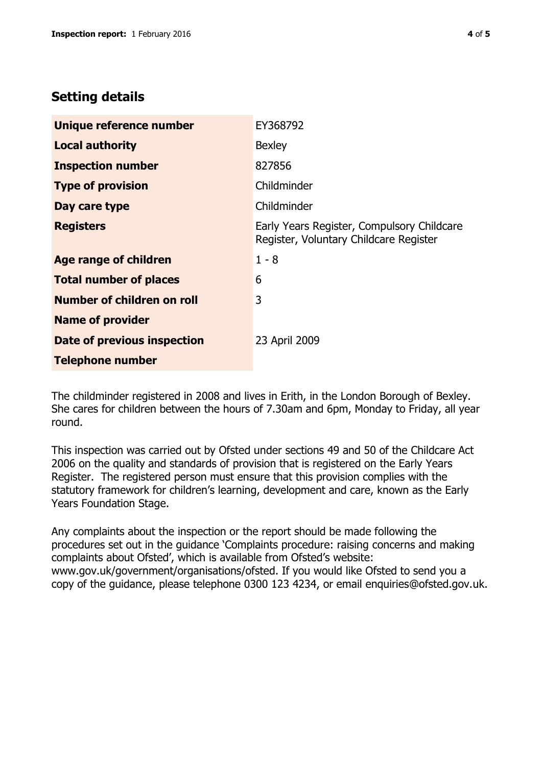## **Setting details**

| Unique reference number       | EY368792                                                                             |  |
|-------------------------------|--------------------------------------------------------------------------------------|--|
| <b>Local authority</b>        | <b>Bexley</b>                                                                        |  |
| <b>Inspection number</b>      | 827856                                                                               |  |
| <b>Type of provision</b>      | Childminder                                                                          |  |
| Day care type                 | Childminder                                                                          |  |
| <b>Registers</b>              | Early Years Register, Compulsory Childcare<br>Register, Voluntary Childcare Register |  |
| Age range of children         | $1 - 8$                                                                              |  |
| <b>Total number of places</b> | 6                                                                                    |  |
| Number of children on roll    | 3                                                                                    |  |
| <b>Name of provider</b>       |                                                                                      |  |
| Date of previous inspection   | 23 April 2009                                                                        |  |
| <b>Telephone number</b>       |                                                                                      |  |

The childminder registered in 2008 and lives in Erith, in the London Borough of Bexley. She cares for children between the hours of 7.30am and 6pm, Monday to Friday, all year round.

This inspection was carried out by Ofsted under sections 49 and 50 of the Childcare Act 2006 on the quality and standards of provision that is registered on the Early Years Register. The registered person must ensure that this provision complies with the statutory framework for children's learning, development and care, known as the Early Years Foundation Stage.

Any complaints about the inspection or the report should be made following the procedures set out in the guidance 'Complaints procedure: raising concerns and making complaints about Ofsted', which is available from Ofsted's website: www.gov.uk/government/organisations/ofsted. If you would like Ofsted to send you a copy of the guidance, please telephone 0300 123 4234, or email enquiries@ofsted.gov.uk.